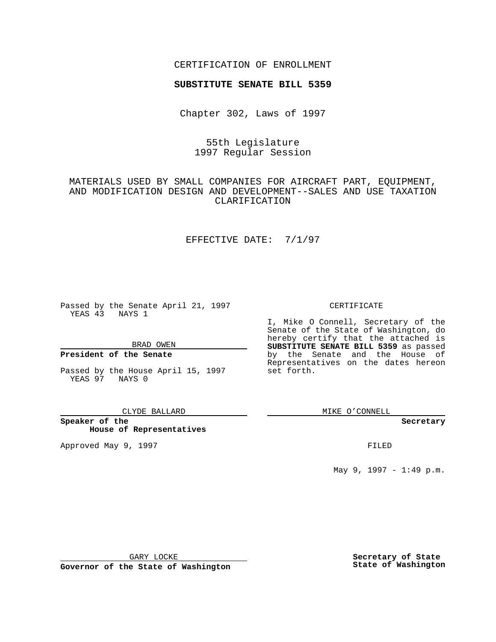### CERTIFICATION OF ENROLLMENT

# **SUBSTITUTE SENATE BILL 5359**

Chapter 302, Laws of 1997

# 55th Legislature 1997 Regular Session

# MATERIALS USED BY SMALL COMPANIES FOR AIRCRAFT PART, EQUIPMENT, AND MODIFICATION DESIGN AND DEVELOPMENT--SALES AND USE TAXATION CLARIFICATION

## EFFECTIVE DATE: 7/1/97

Passed by the Senate April 21, 1997 YEAS 43 NAYS 1

BRAD OWEN

### **President of the Senate**

Passed by the House April 15, 1997 YEAS 97 NAYS 0

#### CLYDE BALLARD

**Speaker of the House of Representatives**

Approved May 9, 1997 **FILED** 

### CERTIFICATE

I, Mike O Connell, Secretary of the Senate of the State of Washington, do hereby certify that the attached is **SUBSTITUTE SENATE BILL 5359** as passed by the Senate and the House of Representatives on the dates hereon set forth.

MIKE O'CONNELL

#### **Secretary**

May 9, 1997 - 1:49 p.m.

GARY LOCKE

**Governor of the State of Washington**

**Secretary of State State of Washington**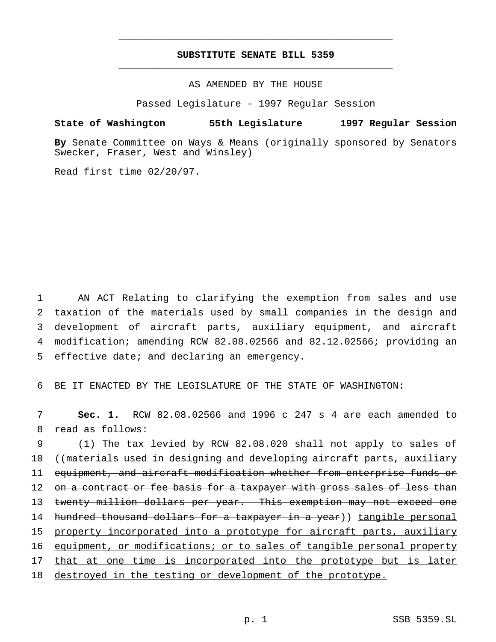## **SUBSTITUTE SENATE BILL 5359** \_\_\_\_\_\_\_\_\_\_\_\_\_\_\_\_\_\_\_\_\_\_\_\_\_\_\_\_\_\_\_\_\_\_\_\_\_\_\_\_\_\_\_\_\_\_\_

\_\_\_\_\_\_\_\_\_\_\_\_\_\_\_\_\_\_\_\_\_\_\_\_\_\_\_\_\_\_\_\_\_\_\_\_\_\_\_\_\_\_\_\_\_\_\_

### AS AMENDED BY THE HOUSE

Passed Legislature - 1997 Regular Session

## **State of Washington 55th Legislature 1997 Regular Session**

**By** Senate Committee on Ways & Means (originally sponsored by Senators Swecker, Fraser, West and Winsley)

Read first time 02/20/97.

 AN ACT Relating to clarifying the exemption from sales and use taxation of the materials used by small companies in the design and development of aircraft parts, auxiliary equipment, and aircraft modification; amending RCW 82.08.02566 and 82.12.02566; providing an effective date; and declaring an emergency.

6 BE IT ENACTED BY THE LEGISLATURE OF THE STATE OF WASHINGTON:

7 **Sec. 1.** RCW 82.08.02566 and 1996 c 247 s 4 are each amended to 8 read as follows:

9 (1) The tax levied by RCW 82.08.020 shall not apply to sales of 10 ((materials used in designing and developing aircraft parts, auxiliary 11 equipment, and aircraft modification whether from enterprise funds or 12 on a contract or fee basis for a taxpayer with gross sales of less than 13 twenty million dollars per year. This exemption may not exceed one 14 hundred thousand dollars for a taxpayer in a year)) tangible personal 15 property incorporated into a prototype for aircraft parts, auxiliary 16 equipment, or modifications; or to sales of tangible personal property 17 that at one time is incorporated into the prototype but is later 18 destroyed in the testing or development of the prototype.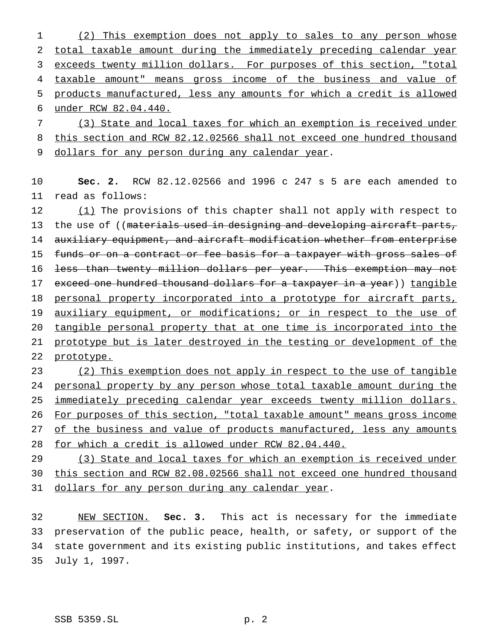(2) This exemption does not apply to sales to any person whose total taxable amount during the immediately preceding calendar year 3 exceeds twenty million dollars. For purposes of this section, "total taxable amount" means gross income of the business and value of products manufactured, less any amounts for which a credit is allowed under RCW 82.04.440.

 (3) State and local taxes for which an exemption is received under 8 this section and RCW 82.12.02566 shall not exceed one hundred thousand dollars for any person during any calendar year.

 **Sec. 2.** RCW 82.12.02566 and 1996 c 247 s 5 are each amended to read as follows:

12 (1) The provisions of this chapter shall not apply with respect to 13 the use of ((materials used in designing and developing aircraft parts, auxiliary equipment, and aircraft modification whether from enterprise 15 funds or on a contract or fee basis for a taxpayer with gross sales of less than twenty million dollars per year. This exemption may not 17 exceed one hundred thousand dollars for a taxpayer in a year)) tangible 18 personal property incorporated into a prototype for aircraft parts, auxiliary equipment, or modifications; or in respect to the use of tangible personal property that at one time is incorporated into the 21 prototype but is later destroyed in the testing or development of the 22 prototype.

 (2) This exemption does not apply in respect to the use of tangible personal property by any person whose total taxable amount during the 25 immediately preceding calendar year exceeds twenty million dollars. For purposes of this section, "total taxable amount" means gross income 27 of the business and value of products manufactured, less any amounts for which a credit is allowed under RCW 82.04.440.

29 (3) State and local taxes for which an exemption is received under this section and RCW 82.08.02566 shall not exceed one hundred thousand 31 dollars for any person during any calendar year.

 NEW SECTION. **Sec. 3.** This act is necessary for the immediate preservation of the public peace, health, or safety, or support of the state government and its existing public institutions, and takes effect July 1, 1997.